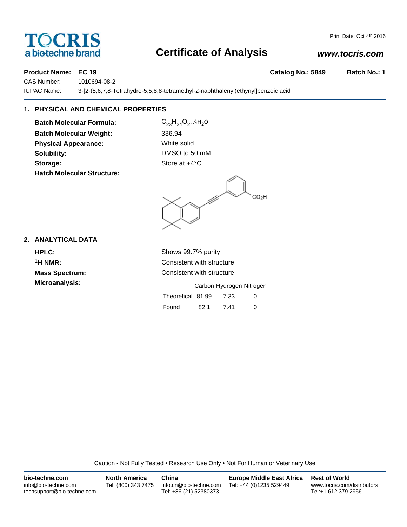# **TOCRIS** a biotechne brand

# Print Date: Oct 4th 2016

# **Certificate of Analysis**

# *www.tocris.com*

**Product Name: EC 19 Catalog No.: 5849 Batch No.: 1**

CAS Number: 1010694-08-2

IUPAC Name: 3-[2-(5,6,7,8-Tetrahydro-5,5,8,8-tetramethyl-2-naphthalenyl)ethynyl]benzoic acid

# **1. PHYSICAL AND CHEMICAL PROPERTIES**

**Batch Molecular Formula:** C<sub>23</sub>H<sub>24</sub>O<sub>2</sub>.¼H<sub>2</sub>O **Batch Molecular Weight:** 336.94 **Physical Appearance:** White solid **Solubility:** DMSO to 50 mM **Storage:** Store at  $+4^{\circ}$ C **Batch Molecular Structure:**

CO<sub>2</sub>H

**2. ANALYTICAL DATA**

**HPLC:** Shows 99.7% purity **1H NMR:** Consistent with structure **Mass Spectrum:** Consistent with structure

**Microanalysis:** Microanalysis: **Carbon Hydrogen Nitrogen** Theoretical 81.99 7.33 0

| Found | 82.1 | 7.41 |  |
|-------|------|------|--|

Caution - Not Fully Tested • Research Use Only • Not For Human or Veterinary Use

| bio-techne.com                                    | <b>North America</b> | China                                            | <b>Europe Middle East Africa</b> | <b>Rest of World</b>                               |
|---------------------------------------------------|----------------------|--------------------------------------------------|----------------------------------|----------------------------------------------------|
| info@bio-techne.com<br>techsupport@bio-techne.com | Tel: (800) 343 7475  | info.cn@bio-techne.com<br>Tel: +86 (21) 52380373 | Tel: +44 (0)1235 529449          | www.tocris.com/distributors<br>Tel:+1 612 379 2956 |